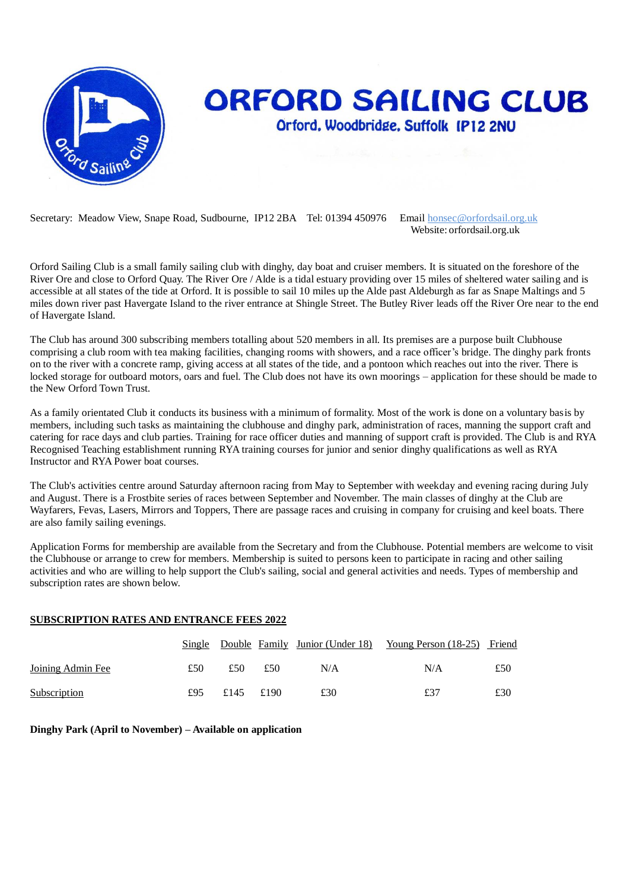

## **ORFORD SAILING CLUB** Orford, Woodbridge, Suffolk IP12 2NU

Secretary: Meadow View, Snape Road, Sudbourne, IP12 2BA Tel: 01394 450976 Email honsec@orfordsail.org.uk

Website: orfordsail.org.uk

Orford Sailing Club is a small family sailing club with dinghy, day boat and cruiser members. It is situated on the foreshore of the River Ore and close to Orford Quay. The River Ore / Alde is a tidal estuary providing over 15 miles of sheltered water sailing and is accessible at all states of the tide at Orford. It is possible to sail 10 miles up the Alde past Aldeburgh as far as Snape Maltings and 5 miles down river past Havergate Island to the river entrance at Shingle Street. The Butley River leads off the River Ore near to the end of Havergate Island.

The Club has around 300 subscribing members totalling about 520 members in all. Its premises are a purpose built Clubhouse comprising a club room with tea making facilities, changing rooms with showers, and a race officer's bridge. The dinghy park fronts on to the river with a concrete ramp, giving access at all states of the tide, and a pontoon which reaches out into the river. There is locked storage for outboard motors, oars and fuel. The Club does not have its own moorings – application for these should be made to the New Orford Town Trust.

As a family orientated Club it conducts its business with a minimum of formality. Most of the work is done on a voluntary basis by members, including such tasks as maintaining the clubhouse and dinghy park, administration of races, manning the support craft and catering for race days and club parties. Training for race officer duties and manning of support craft is provided. The Club is and RYA Recognised Teaching establishment running RYA training courses for junior and senior dinghy qualifications as well as RYA Instructor and RYA Power boat courses.

The Club's activities centre around Saturday afternoon racing from May to September with weekday and evening racing during July and August. There is a Frostbite series of races between September and November. The main classes of dinghy at the Club are Wayfarers, Fevas, Lasers, Mirrors and Toppers, There are passage races and cruising in company for cruising and keel boats. There are also family sailing evenings.

Application Forms for membership are available from the Secretary and from the Clubhouse. Potential members are welcome to visit the Clubhouse or arrange to crew for members. Membership is suited to persons keen to participate in racing and other sailing activities and who are willing to help support the Club's sailing, social and general activities and needs. Types of membership and subscription rates are shown below.

## **SUBSCRIPTION RATES AND ENTRANCE FEES 2022**

|                     |     |           |     |     | Single Double Family Junior (Under 18) Young Person (18-25) Friend |     |
|---------------------|-----|-----------|-----|-----|--------------------------------------------------------------------|-----|
| Joining Admin Fee   | £50 | £50       | £50 | N/A | N/A                                                                | £50 |
| <b>Subscription</b> | £95 | £145 £190 |     | £30 | £37                                                                | £30 |

**Dinghy Park (April to November) – Available on application**